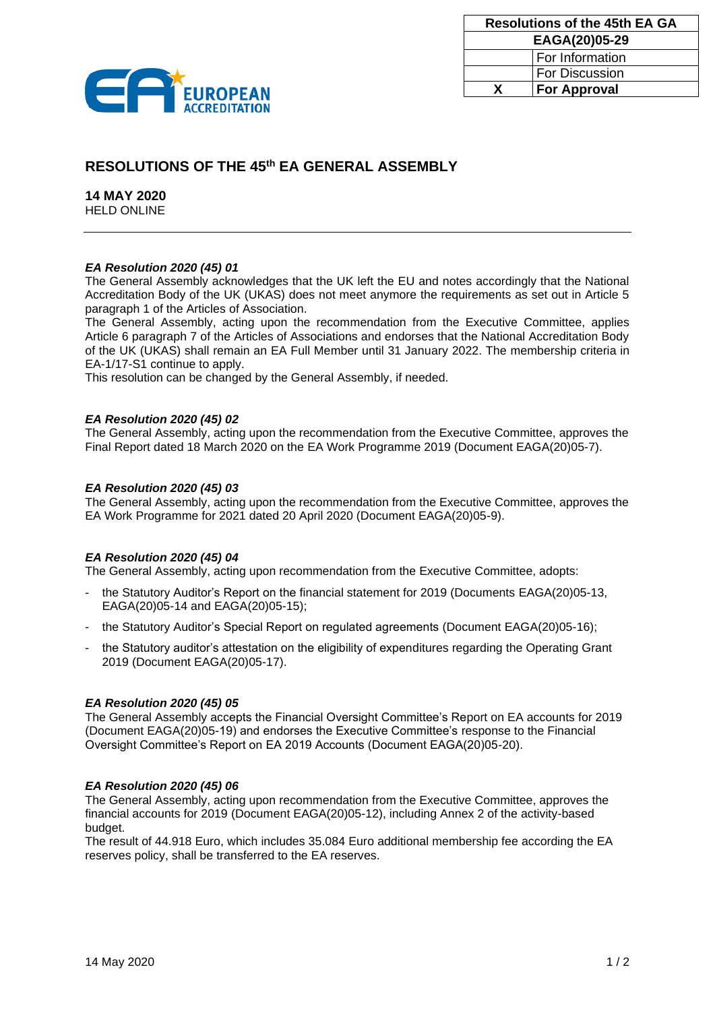

| <b>Resolutions of the 45th EA GA</b> |                       |
|--------------------------------------|-----------------------|
| EAGA(20)05-29                        |                       |
|                                      | For Information       |
|                                      | <b>For Discussion</b> |
| x                                    | <b>For Approval</b>   |

# **RESOLUTIONS OF THE 45 th EA GENERAL ASSEMBLY**

**14 MAY 2020** HELD ONLINE

# *EA Resolution 2020 (45) 01*

The General Assembly acknowledges that the UK left the EU and notes accordingly that the National Accreditation Body of the UK (UKAS) does not meet anymore the requirements as set out in Article 5 paragraph 1 of the Articles of Association.

The General Assembly, acting upon the recommendation from the Executive Committee, applies Article 6 paragraph 7 of the Articles of Associations and endorses that the National Accreditation Body of the UK (UKAS) shall remain an EA Full Member until 31 January 2022. The membership criteria in EA-1/17-S1 continue to apply.

This resolution can be changed by the General Assembly, if needed.

# *EA Resolution 2020 (45) 02*

The General Assembly, acting upon the recommendation from the Executive Committee, approves the Final Report dated 18 March 2020 on the EA Work Programme 2019 (Document EAGA(20)05-7).

#### *EA Resolution 2020 (45) 03*

The General Assembly, acting upon the recommendation from the Executive Committee, approves the EA Work Programme for 2021 dated 20 April 2020 (Document EAGA(20)05-9).

# *EA Resolution 2020 (45) 04*

The General Assembly, acting upon recommendation from the Executive Committee, adopts:

- the Statutory Auditor's Report on the financial statement for 2019 (Documents EAGA(20)05-13, EAGA(20)05-14 and EAGA(20)05-15);
- the Statutory Auditor's Special Report on regulated agreements (Document EAGA(20)05-16);
- the Statutory auditor's attestation on the eligibility of expenditures regarding the Operating Grant 2019 (Document EAGA(20)05-17).

#### *EA Resolution 2020 (45) 05*

The General Assembly accepts the Financial Oversight Committee's Report on EA accounts for 2019 (Document EAGA(20)05-19) and endorses the Executive Committee's response to the Financial Oversight Committee's Report on EA 2019 Accounts (Document EAGA(20)05-20).

#### *EA Resolution 2020 (45) 06*

The General Assembly, acting upon recommendation from the Executive Committee, approves the financial accounts for 2019 (Document EAGA(20)05-12), including Annex 2 of the activity-based budget.

The result of 44.918 Euro, which includes 35.084 Euro additional membership fee according the EA reserves policy, shall be transferred to the EA reserves.